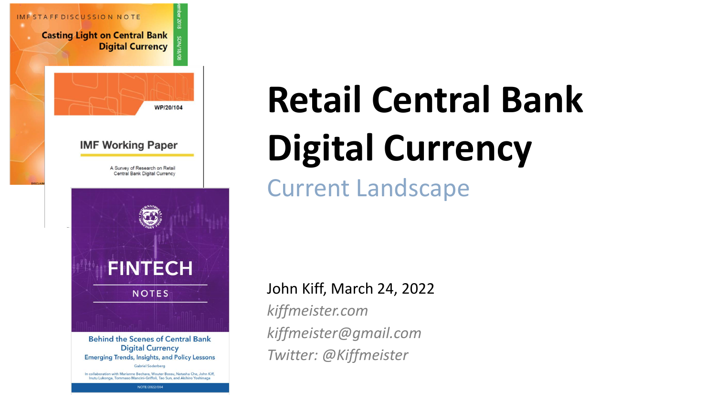

# **Retail Central Bank Digital Currency**

Current Landscape

#### John Kiff, March 24, 2022

*kiffmeister.com kiffmeister@gmail.com Twitter: @Kiffmeister*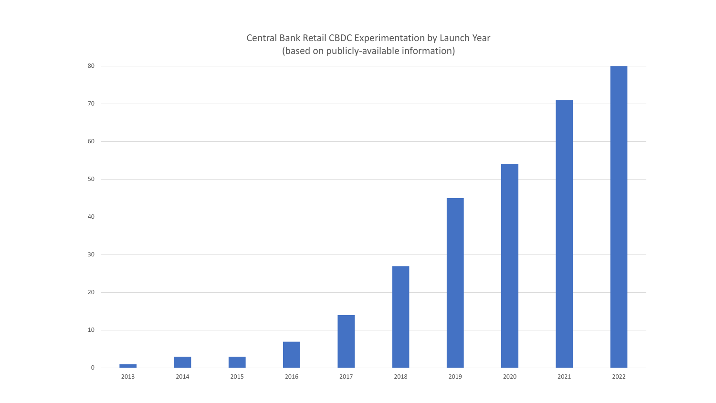#### Central Bank Retail CBDC Experimentation by Launch Year (based on publicly-available information)

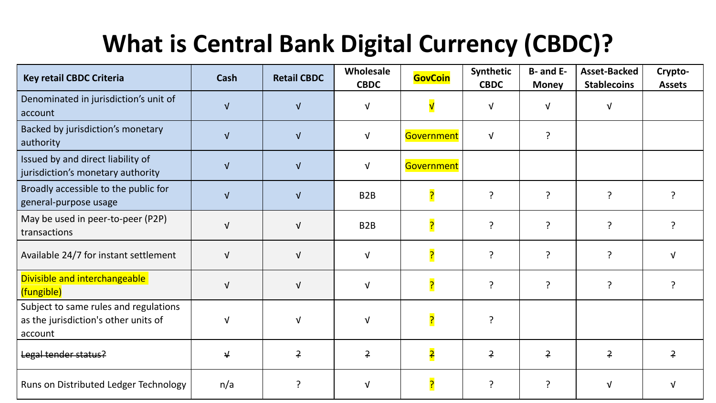# **What is Central Bank Digital Currency (CBDC)?**

| <b>Key retail CBDC Criteria</b>                                                          | <b>Cash</b> | <b>Retail CBDC</b> | Wholesale<br><b>CBDC</b> | <b>GovCoin</b> | Synthetic<br><b>CBDC</b> | B- and E-<br><b>Money</b> | <b>Asset-Backed</b><br><b>Stablecoins</b> | Crypto-<br><b>Assets</b> |
|------------------------------------------------------------------------------------------|-------------|--------------------|--------------------------|----------------|--------------------------|---------------------------|-------------------------------------------|--------------------------|
| Denominated in jurisdiction's unit of<br>account                                         |             | $\sqrt{ }$         | N                        |                | <b>V</b>                 |                           | νI                                        |                          |
| Backed by jurisdiction's monetary<br>authority                                           |             | $\sqrt{ }$         | V                        | Government     | $\sqrt{ }$               | ?                         |                                           |                          |
| Issued by and direct liability of<br>jurisdiction's monetary authority                   | $\sqrt{ }$  | $\sqrt{ }$         | Ν                        | Government     |                          |                           |                                           |                          |
| Broadly accessible to the public for<br>general-purpose usage                            |             | $\sqrt{ }$         | B <sub>2</sub> B         |                | ?                        | ?                         | 2                                         |                          |
| May be used in peer-to-peer (P2P)<br>transactions                                        |             | $\sqrt{ }$         | B <sub>2</sub> B         |                | ?                        | $\overline{?}$            | ?                                         |                          |
| Available 24/7 for instant settlement                                                    | $\sqrt{ }$  | $\sqrt{ }$         | Ν                        |                | $\mathcal{L}$            | ?                         | 2                                         |                          |
| Divisible and interchangeable<br>(fungible)                                              | $\sqrt{ }$  | $\sqrt{ }$         | v                        |                | $\overline{?}$           | 2                         | ?                                         |                          |
| Subject to same rules and regulations<br>as the jurisdiction's other units of<br>account |             | $\sqrt{ }$         |                          |                | ?                        |                           |                                           |                          |
| Legal tender status?                                                                     | ↓           | $\div$             | $\ddot{ }$               | <mark>?</mark> | 구                        | 구                         | <u>۽</u>                                  | $\ddot{=}$               |
| Runs on Distributed Ledger Technology                                                    | n/a         | ?                  |                          |                | ?                        |                           | N                                         |                          |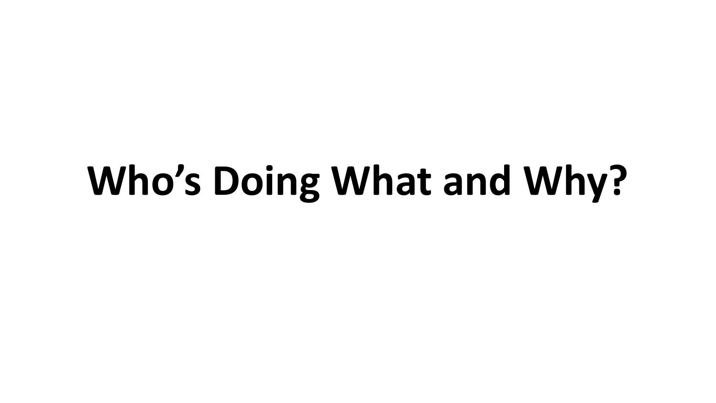# **Who's Doing What and Why?**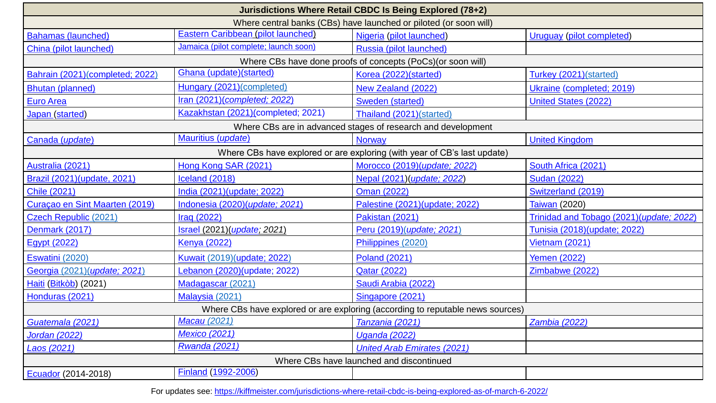| Jurisdictions Where Retail CBDC Is Being Explored (78+2)                       |                                                             |                                    |                                          |  |  |  |  |  |  |  |
|--------------------------------------------------------------------------------|-------------------------------------------------------------|------------------------------------|------------------------------------------|--|--|--|--|--|--|--|
| Where central banks (CBs) have launched or piloted (or soon will)              |                                                             |                                    |                                          |  |  |  |  |  |  |  |
| <b>Bahamas (launched)</b>                                                      | Eastern Caribbean (pilot launched)                          | Nigeria (pilot launched)           | <b>Uruguay</b> (pilot completed)         |  |  |  |  |  |  |  |
| China (pilot launched)                                                         | Jamaica (pilot complete; launch soon)                       | Russia (pilot launched)            |                                          |  |  |  |  |  |  |  |
|                                                                                | Where CBs have done proofs of concepts (PoCs)(or soon will) |                                    |                                          |  |  |  |  |  |  |  |
| Bahrain (2021)(completed; 2022)                                                | Ghana (update)(started)                                     | Korea (2022)(started)              | Turkey (2021)(started)                   |  |  |  |  |  |  |  |
| <b>Bhutan (planned)</b>                                                        | Hungary (2021)(completed)                                   | New Zealand (2022)                 | Ukraine (completed; 2019)                |  |  |  |  |  |  |  |
| <b>Euro Area</b>                                                               | Iran (2021)(completed; 2022)                                | Sweden (started)                   | <b>United States (2022)</b>              |  |  |  |  |  |  |  |
| Japan (started)                                                                | Kazakhstan (2021)(completed; 2021)                          | Thailand (2021)(started)           |                                          |  |  |  |  |  |  |  |
| Where CBs are in advanced stages of research and development                   |                                                             |                                    |                                          |  |  |  |  |  |  |  |
| Canada (update)                                                                | Mauritius (update)                                          | <b>Norway</b>                      | <b>United Kingdom</b>                    |  |  |  |  |  |  |  |
| Where CBs have explored or are exploring (with year of CB's last update)       |                                                             |                                    |                                          |  |  |  |  |  |  |  |
| Australia (2021)                                                               | Hong Kong SAR (2021)                                        | Morocco (2019)(update; 2022)       | South Africa (2021)                      |  |  |  |  |  |  |  |
| Brazil (2021) (update, 2021)                                                   | Iceland (2018)                                              | Nepal (2021)(update; 2022)         | <b>Sudan (2022)</b>                      |  |  |  |  |  |  |  |
| <b>Chile (2021)</b>                                                            | India (2021)(update; 2022)                                  | Oman (2022)                        | Switzerland (2019)                       |  |  |  |  |  |  |  |
| Curaçao en Sint Maarten (2019)                                                 | Indonesia (2020) (update; 2021)                             | Palestine (2021)(update; 2022)     | Taiwan (2020)                            |  |  |  |  |  |  |  |
| Czech Republic (2021)                                                          | Iraq (2022)                                                 | Pakistan (2021)                    | Trinidad and Tobago (2021)(update; 2022) |  |  |  |  |  |  |  |
| Denmark (2017)                                                                 | Israel (2021) (update; 2021)                                | Peru (2019)(update; 2021)          | Tunisia (2018) (update; 2022)            |  |  |  |  |  |  |  |
| <b>Egypt (2022)</b>                                                            | <b>Kenya (2022)</b>                                         | Philippines (2020)                 | <b>Vietnam (2021)</b>                    |  |  |  |  |  |  |  |
| Eswatini (2020)                                                                | Kuwait (2019) (update; 2022)                                | <b>Poland (2021)</b>               | <b>Yemen (2022)</b>                      |  |  |  |  |  |  |  |
| Georgia (2021) (update; 2021)                                                  | Lebanon (2020)(update; 2022)                                | <b>Qatar (2022)</b>                | Zimbabwe (2022)                          |  |  |  |  |  |  |  |
| Haiti (Bitkòb) (2021)                                                          | Madagascar (2021)                                           | Saudi Arabia (2022)                |                                          |  |  |  |  |  |  |  |
| Honduras (2021)                                                                | Malaysia (2021)                                             | Singapore (2021)                   |                                          |  |  |  |  |  |  |  |
| Where CBs have explored or are exploring (according to reputable news sources) |                                                             |                                    |                                          |  |  |  |  |  |  |  |
| Guatemala (2021)                                                               | Macau (2021)                                                | Tanzania (2021)                    | <b>Zambia (2022)</b>                     |  |  |  |  |  |  |  |
| Jordan (2022)                                                                  | <b>Mexico (2021)</b>                                        | <b>Uganda (2022)</b>               |                                          |  |  |  |  |  |  |  |
| Laos (2021)                                                                    | <b>Rwanda (2021)</b>                                        | <b>United Arab Emirates (2021)</b> |                                          |  |  |  |  |  |  |  |
|                                                                                | Where CBs have launched and discontinued                    |                                    |                                          |  |  |  |  |  |  |  |
| Ecuador (2014-2018)                                                            | <b>Finland (1992-2006)</b>                                  |                                    |                                          |  |  |  |  |  |  |  |

For updates see:<https://kiffmeister.com/jurisdictions-where-retail-cbdc-is-being-explored-as-of-march-6-2022/>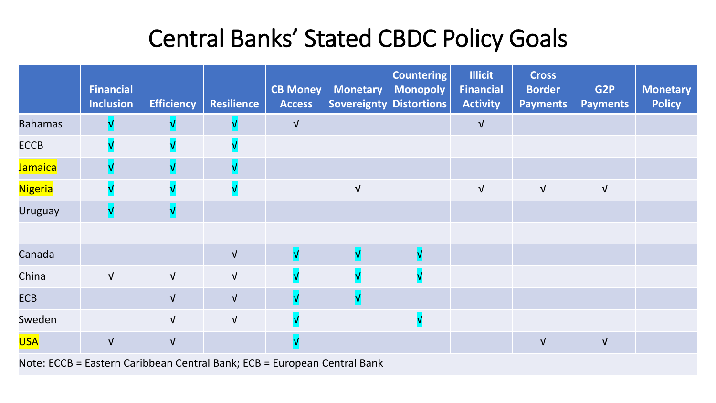## Central Banks' Stated CBDC Policy Goals

|                                   | <b>Financial</b><br><b>Inclusion</b> | <b>Efficiency</b> | <b>Resilience</b> | <b>CB Money</b><br><b>Access</b> | <b>Monetary</b>                    | <b>Countering</b><br><b>Monopoly</b><br>Sovereignty Distortions | <b>Illicit</b><br>Financial<br><b>Activity</b> | <b>Cross</b><br><b>Border</b><br><b>Payments</b> | G <sub>2P</sub><br><b>Payments</b> | <b>Monetary</b><br><b>Policy</b> |
|-----------------------------------|--------------------------------------|-------------------|-------------------|----------------------------------|------------------------------------|-----------------------------------------------------------------|------------------------------------------------|--------------------------------------------------|------------------------------------|----------------------------------|
| <b>Bahamas</b>                    |                                      |                   |                   | $\sqrt{ }$                       |                                    |                                                                 | $\sqrt{ }$                                     |                                                  |                                    |                                  |
| <b>ECCB</b>                       |                                      |                   |                   |                                  |                                    |                                                                 |                                                |                                                  |                                    |                                  |
| Jamaica                           |                                      |                   |                   |                                  |                                    |                                                                 |                                                |                                                  |                                    |                                  |
| Nigeria                           |                                      |                   |                   |                                  | $\sqrt{ }$                         |                                                                 | $\sqrt{ }$                                     | $\sqrt{ }$                                       | $\sqrt{ }$                         |                                  |
| <b>Uruguay</b>                    |                                      | V                 |                   |                                  |                                    |                                                                 |                                                |                                                  |                                    |                                  |
|                                   |                                      |                   |                   |                                  |                                    |                                                                 |                                                |                                                  |                                    |                                  |
| Canada                            |                                      |                   | $\sqrt{ }$        | $\overline{\mathsf{v}}$          | $\overline{\mathsf{V}}$            | $\overline{\mathsf{v}}$                                         |                                                |                                                  |                                    |                                  |
| China                             | $\sqrt{ }$                           | $\sqrt{ }$        | $\sqrt{ }$        |                                  |                                    |                                                                 |                                                |                                                  |                                    |                                  |
| <b>ECB</b>                        |                                      | $\sqrt{ }$        | $\sqrt{ }$        | $\overline{\mathsf{v}}$          | $\mathsf{V}$                       |                                                                 |                                                |                                                  |                                    |                                  |
| Sweden                            |                                      | $\sqrt{ }$        | $\sqrt{ }$        | $\sqrt{}$                        |                                    |                                                                 |                                                |                                                  |                                    |                                  |
| <b>USA</b>                        | $\sqrt{ }$                           | $\sqrt{ }$        |                   | $\mathbf v$                      |                                    |                                                                 |                                                | $\sqrt{ }$                                       | $\sqrt{ }$                         |                                  |
| <b>Contract Contract Contract</b> | $\sim$ $\sim$ $\sim$ $\sim$          |                   |                   |                                  | $\sim$ $\sim$ $\sim$ $\sim$ $\sim$ |                                                                 |                                                |                                                  |                                    |                                  |

Note: ECCB = Eastern Caribbean Central Bank; ECB = European Central Bank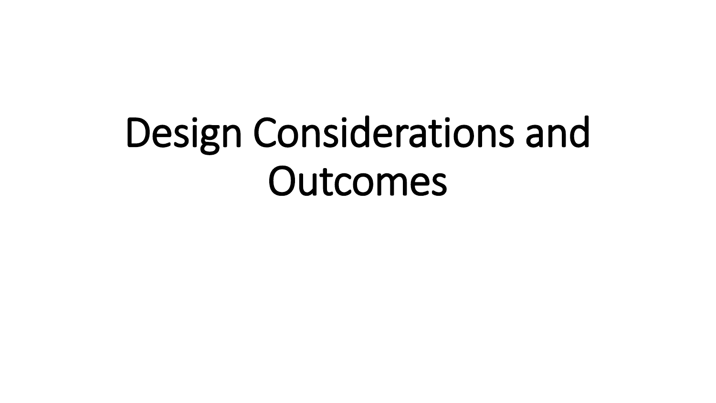# Design Considerations and Outcomes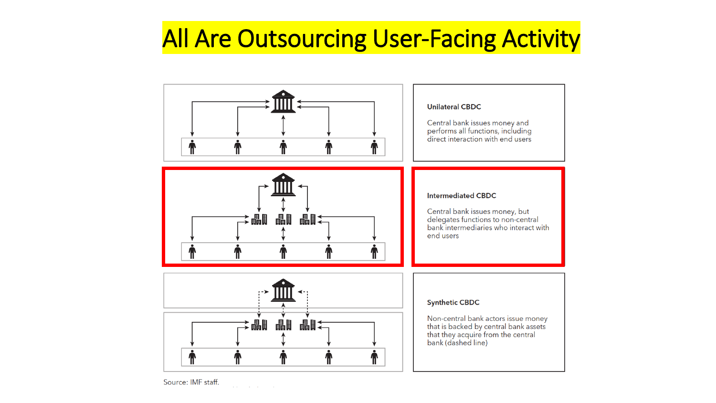# All Are Outsourcing User-Facing Activity



Source: IMF staff.  $\Delta\Delta\phi=2\pi\Delta\phi=0.01$  .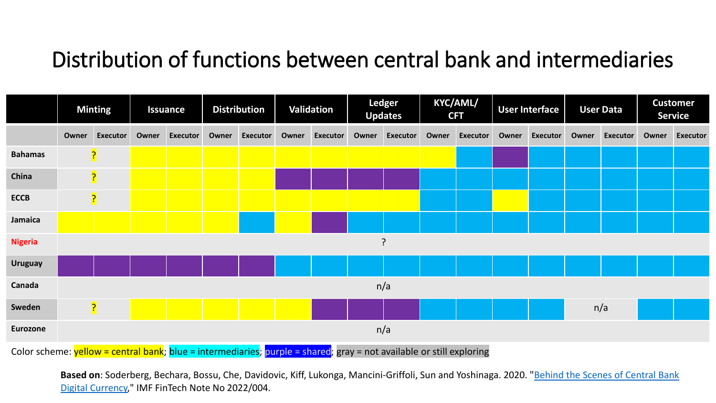### Distribution of functions between central bank and intermediaries

|                |       | <b>Minting</b>  |       | <b>Issuance</b> |       | <b>Distribution</b> |       | <b>Validation</b> |       | <b>Ledger</b><br><b>Updates</b> | <b>CFT</b> | <b>KYC/AML/</b> |       | <b>User Interface</b> |       | <b>User Data</b> |       | <b>Customer</b><br><b>Service</b> |
|----------------|-------|-----------------|-------|-----------------|-------|---------------------|-------|-------------------|-------|---------------------------------|------------|-----------------|-------|-----------------------|-------|------------------|-------|-----------------------------------|
|                | Owner | <b>Executor</b> | Owner | <b>Executor</b> | Owner | <b>Executor</b>     | Owner | <b>Executor</b>   | Owner | <b>Executor</b>                 | Owner      | <b>Executor</b> | Owner | <b>Executor</b>       | Owner | <b>Executor</b>  | Owner | Executor                          |
| <b>Bahamas</b> |       | <mark>?</mark>  |       |                 |       |                     |       |                   |       |                                 |            |                 |       |                       |       |                  |       |                                   |
| China          |       | $\overline{?}$  |       |                 |       |                     |       |                   |       |                                 |            |                 |       |                       |       |                  |       |                                   |
| <b>ECCB</b>    |       | $\overline{?}$  |       |                 |       |                     |       |                   |       |                                 |            |                 |       |                       |       |                  |       |                                   |
| Jamaica        |       |                 |       |                 |       |                     |       |                   |       |                                 |            |                 |       |                       |       |                  |       |                                   |
| <b>Nigeria</b> |       |                 |       |                 |       |                     |       |                   | ?     |                                 |            |                 |       |                       |       |                  |       |                                   |
| <b>Uruguay</b> |       |                 |       |                 |       |                     |       |                   |       |                                 |            |                 |       |                       |       |                  |       |                                   |
| Canada         |       |                 |       |                 |       |                     |       |                   |       | n/a                             |            |                 |       |                       |       |                  |       |                                   |
| Sweden         |       | $\overline{?}$  |       |                 |       |                     |       |                   |       |                                 |            |                 |       |                       |       | n/a              |       |                                   |
| Eurozone       |       |                 |       |                 |       |                     |       |                   |       | n/a                             |            |                 |       |                       |       |                  |       |                                   |

Color scheme: yellow = central bank; blue = intermediaries; purple = shared; gray = not available or still exploring

**Based on**[: Soderberg, Bechara, Bossu, Che, Davidovic, Kiff, Lukonga, Mancini-Griffoli, Sun and Yoshinaga. 2020. "Behind the Scenes of Central Bank](https://www.imf.org/en/Publications/fintech-notes/Issues/2022/02/07/Behind-the-Scenes-of-Central-Bank-Digital-Currency-512174)  Digital Currency," IMF FinTech Note No 2022/004.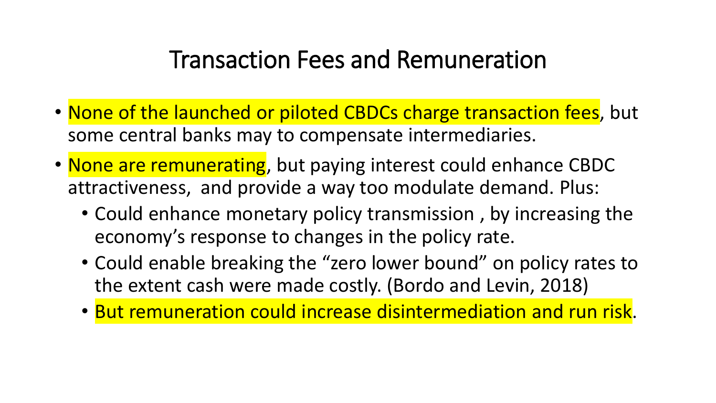### Transaction Fees and Remuneration

- None of the launched or piloted CBDCs charge transaction fees, but some central banks may to compensate intermediaries.
- None are remunerating, but paying interest could enhance CBDC attractiveness, and provide a way too modulate demand. Plus:
	- Could enhance monetary policy transmission , by increasing the economy's response to changes in the policy rate.
	- Could enable breaking the "zero lower bound" on policy rates to the extent cash were made costly. (Bordo and Levin, 2018)
	- But remuneration could increase disintermediation and run risk.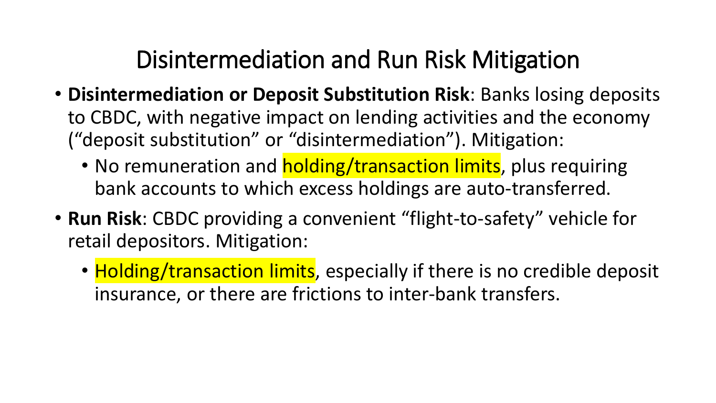# Disintermediation and Run Risk Mitigation

- **Disintermediation or Deposit Substitution Risk**: Banks losing deposits to CBDC, with negative impact on lending activities and the economy ("deposit substitution" or "disintermediation"). Mitigation:
	- No remuneration and **holding/transaction limits**, plus requiring bank accounts to which excess holdings are auto-transferred.
- **Run Risk**: CBDC providing a convenient "flight-to-safety" vehicle for retail depositors. Mitigation:
	- Holding/transaction limits, especially if there is no credible deposit insurance, or there are frictions to inter-bank transfers.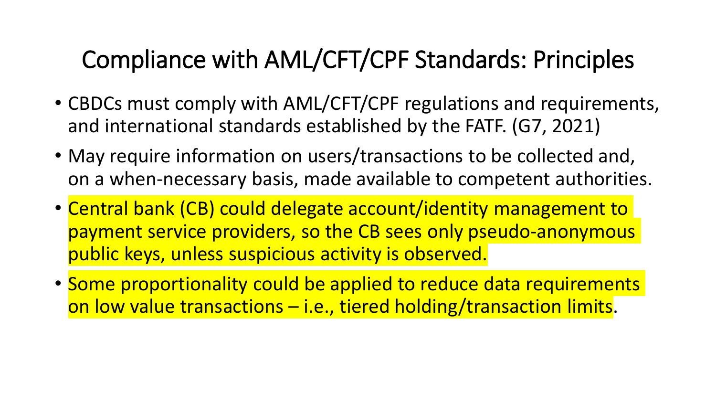# Compliance with AML/CFT/CPF Standards: Principles

- CBDCs must comply with AML/CFT/CPF regulations and requirements, and international standards established by the FATF. (G7, 2021)
- May require information on users/transactions to be collected and, on a when-necessary basis, made available to competent authorities.
- Central bank (CB) could delegate account/identity management to payment service providers, so the CB sees only pseudo-anonymous public keys, unless suspicious activity is observed.
- Some proportionality could be applied to reduce data requirements on low value transactions – i.e., tiered holding/transaction limits.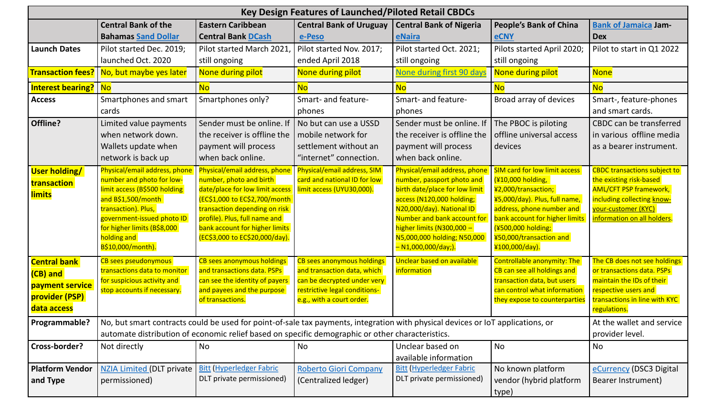| <b>Key Design Features of Launched/Piloted Retail CBDCs</b>                                                |                                                                                                                                                                                                                                                                                                                                                                |                                                                                                                                                                                                                                                                                                                                                                                                 |                                                                                                                                                                                                                       |                                                                                                                                                                                                                                                                                                                        |                                                                                                                                                                                                                                                                                                                                                                                  |                                                                                                                                                                                                                                                                                                        |  |  |
|------------------------------------------------------------------------------------------------------------|----------------------------------------------------------------------------------------------------------------------------------------------------------------------------------------------------------------------------------------------------------------------------------------------------------------------------------------------------------------|-------------------------------------------------------------------------------------------------------------------------------------------------------------------------------------------------------------------------------------------------------------------------------------------------------------------------------------------------------------------------------------------------|-----------------------------------------------------------------------------------------------------------------------------------------------------------------------------------------------------------------------|------------------------------------------------------------------------------------------------------------------------------------------------------------------------------------------------------------------------------------------------------------------------------------------------------------------------|----------------------------------------------------------------------------------------------------------------------------------------------------------------------------------------------------------------------------------------------------------------------------------------------------------------------------------------------------------------------------------|--------------------------------------------------------------------------------------------------------------------------------------------------------------------------------------------------------------------------------------------------------------------------------------------------------|--|--|
|                                                                                                            | <b>Central Bank of the</b>                                                                                                                                                                                                                                                                                                                                     | <b>Eastern Caribbean</b>                                                                                                                                                                                                                                                                                                                                                                        | <b>Central Bank of Uruguay</b>                                                                                                                                                                                        | <b>Central Bank of Nigeria</b>                                                                                                                                                                                                                                                                                         | <b>People's Bank of China</b>                                                                                                                                                                                                                                                                                                                                                    | <b>Bank of Jamaica Jam-</b>                                                                                                                                                                                                                                                                            |  |  |
|                                                                                                            | <b>Bahamas Sand Dollar</b>                                                                                                                                                                                                                                                                                                                                     | <b>Central Bank DCash</b>                                                                                                                                                                                                                                                                                                                                                                       | e-Peso                                                                                                                                                                                                                | eNaira                                                                                                                                                                                                                                                                                                                 | <b>eCNY</b>                                                                                                                                                                                                                                                                                                                                                                      | <b>Dex</b>                                                                                                                                                                                                                                                                                             |  |  |
| <b>Launch Dates</b>                                                                                        | Pilot started Dec. 2019;                                                                                                                                                                                                                                                                                                                                       | Pilot started March 2021,                                                                                                                                                                                                                                                                                                                                                                       | Pilot started Nov. 2017;                                                                                                                                                                                              | Pilot started Oct. 2021;                                                                                                                                                                                                                                                                                               | Pilots started April 2020;                                                                                                                                                                                                                                                                                                                                                       | Pilot to start in Q1 2022                                                                                                                                                                                                                                                                              |  |  |
|                                                                                                            | launched Oct. 2020                                                                                                                                                                                                                                                                                                                                             | still ongoing                                                                                                                                                                                                                                                                                                                                                                                   | ended April 2018                                                                                                                                                                                                      | still ongoing                                                                                                                                                                                                                                                                                                          | still ongoing                                                                                                                                                                                                                                                                                                                                                                    |                                                                                                                                                                                                                                                                                                        |  |  |
|                                                                                                            | Transaction fees?   No, but maybe yes later                                                                                                                                                                                                                                                                                                                    | None during pilot                                                                                                                                                                                                                                                                                                                                                                               | None during pilot                                                                                                                                                                                                     | None during first 90 days                                                                                                                                                                                                                                                                                              | None during pilot                                                                                                                                                                                                                                                                                                                                                                | <b>None</b>                                                                                                                                                                                                                                                                                            |  |  |
| <b>Interest bearing?</b>   No                                                                              |                                                                                                                                                                                                                                                                                                                                                                | <b>No</b>                                                                                                                                                                                                                                                                                                                                                                                       | <b>No</b>                                                                                                                                                                                                             | <b>No</b>                                                                                                                                                                                                                                                                                                              | <b>No</b>                                                                                                                                                                                                                                                                                                                                                                        | <b>No</b>                                                                                                                                                                                                                                                                                              |  |  |
| <b>Access</b>                                                                                              | Smartphones and smart                                                                                                                                                                                                                                                                                                                                          | Smartphones only?                                                                                                                                                                                                                                                                                                                                                                               | Smart- and feature-                                                                                                                                                                                                   | Smart- and feature-                                                                                                                                                                                                                                                                                                    | Broad array of devices                                                                                                                                                                                                                                                                                                                                                           | Smart-, feature-phones                                                                                                                                                                                                                                                                                 |  |  |
|                                                                                                            | cards                                                                                                                                                                                                                                                                                                                                                          |                                                                                                                                                                                                                                                                                                                                                                                                 | phones                                                                                                                                                                                                                | phones                                                                                                                                                                                                                                                                                                                 |                                                                                                                                                                                                                                                                                                                                                                                  | and smart cards.                                                                                                                                                                                                                                                                                       |  |  |
| Offline?                                                                                                   | Limited value payments                                                                                                                                                                                                                                                                                                                                         | Sender must be online. If                                                                                                                                                                                                                                                                                                                                                                       | No but can use a USSD                                                                                                                                                                                                 | Sender must be online. If                                                                                                                                                                                                                                                                                              | The PBOC is piloting                                                                                                                                                                                                                                                                                                                                                             | CBDC can be transferred                                                                                                                                                                                                                                                                                |  |  |
|                                                                                                            | when network down.                                                                                                                                                                                                                                                                                                                                             | the receiver is offline the                                                                                                                                                                                                                                                                                                                                                                     | mobile network for                                                                                                                                                                                                    | the receiver is offline the                                                                                                                                                                                                                                                                                            | offline universal access                                                                                                                                                                                                                                                                                                                                                         | in various offline media                                                                                                                                                                                                                                                                               |  |  |
|                                                                                                            | Wallets update when                                                                                                                                                                                                                                                                                                                                            | payment will process                                                                                                                                                                                                                                                                                                                                                                            | settlement without an                                                                                                                                                                                                 | payment will process                                                                                                                                                                                                                                                                                                   | devices                                                                                                                                                                                                                                                                                                                                                                          | as a bearer instrument.                                                                                                                                                                                                                                                                                |  |  |
|                                                                                                            | network is back up                                                                                                                                                                                                                                                                                                                                             | when back online.                                                                                                                                                                                                                                                                                                                                                                               | "internet" connection.                                                                                                                                                                                                | when back online.                                                                                                                                                                                                                                                                                                      |                                                                                                                                                                                                                                                                                                                                                                                  |                                                                                                                                                                                                                                                                                                        |  |  |
| <b>User holding/</b><br>transaction<br><b>limits</b><br><b>Central bank</b><br>(CB) and<br>payment service | Physical/email address, phone<br>number and photo for low-<br>limit access (B\$500 holding<br>and B\$1,500/month<br>transaction). Plus,<br>government-issued photo ID<br>for higher limits (B\$8,000<br>holding and<br>B\$10,000/month).<br>CB sees pseudonymous<br>transactions data to monitor<br>for suspicious activity and<br>stop accounts if necessary. | Physical/email address, phone<br>number, photo and birth<br>date/place for low limit access<br>(EC\$1,000 to EC\$2,700/month<br>transaction depending on risk<br>profile). Plus, full name and<br>bank account for higher limits<br>(EC\$3,000 to EC\$20,000/day).<br>CB sees anonymous holdings<br>and transactions data. PSPs<br>can see the identity of payers<br>and payees and the purpose | Physical/email address, SIM<br>card and national ID for low<br>limit access (UYU30,000).<br>CB sees anonymous holdings<br>and transaction data, which<br>can be decrypted under very<br>restrictive legal conditions- | Physical/email address, phone<br>number, passport photo and<br>birth date/place for low limit<br>access (N120,000 holding;<br>N20,000/day). National ID<br>Number and bank account for<br>higher limits (N300,000 -<br>N5,000,000 holding; N50,000<br>- N1,000,000/day;).<br>Unclear based on available<br>information | <b>SIM card for low limit access</b><br>(¥10,000 holding,<br>¥2,000/transaction;<br>¥5,000/day). Plus, full name,<br>address, phone number and<br>bank account for higher limits<br>(¥500,000 holding;<br>¥50,000/transaction and<br>¥100,000/day).<br>Controllable anonymity: The<br>CB can see all holdings and<br>transaction data, but users<br>can control what information | <b>CBDC</b> transactions subject to<br>the existing risk-based<br><b>AML/CFT PSP framework,</b><br>including collecting know-<br>your-customer (KYC)<br>information on all holders.<br>The CB does not see holdings<br>or transactions data. PSPs<br>maintain the IDs of their<br>respective users and |  |  |
| provider (PSP)                                                                                             |                                                                                                                                                                                                                                                                                                                                                                | of transactions.                                                                                                                                                                                                                                                                                                                                                                                | e.g., with a court order.                                                                                                                                                                                             |                                                                                                                                                                                                                                                                                                                        | they expose to counterparties                                                                                                                                                                                                                                                                                                                                                    | transactions in line with KYC                                                                                                                                                                                                                                                                          |  |  |
| data access                                                                                                |                                                                                                                                                                                                                                                                                                                                                                |                                                                                                                                                                                                                                                                                                                                                                                                 |                                                                                                                                                                                                                       |                                                                                                                                                                                                                                                                                                                        |                                                                                                                                                                                                                                                                                                                                                                                  | regulations.                                                                                                                                                                                                                                                                                           |  |  |
| Programmable?                                                                                              |                                                                                                                                                                                                                                                                                                                                                                | No, but smart contracts could be used for point-of-sale tax payments, integration with physical devices or IoT applications, or                                                                                                                                                                                                                                                                 |                                                                                                                                                                                                                       |                                                                                                                                                                                                                                                                                                                        |                                                                                                                                                                                                                                                                                                                                                                                  | At the wallet and service                                                                                                                                                                                                                                                                              |  |  |
|                                                                                                            |                                                                                                                                                                                                                                                                                                                                                                | automate distribution of economic relief based on specific demographic or other characteristics.                                                                                                                                                                                                                                                                                                |                                                                                                                                                                                                                       |                                                                                                                                                                                                                                                                                                                        |                                                                                                                                                                                                                                                                                                                                                                                  | provider level.                                                                                                                                                                                                                                                                                        |  |  |
| Cross-border?                                                                                              | Not directly                                                                                                                                                                                                                                                                                                                                                   | No                                                                                                                                                                                                                                                                                                                                                                                              | No                                                                                                                                                                                                                    | Unclear based on                                                                                                                                                                                                                                                                                                       | No                                                                                                                                                                                                                                                                                                                                                                               | No                                                                                                                                                                                                                                                                                                     |  |  |
|                                                                                                            |                                                                                                                                                                                                                                                                                                                                                                |                                                                                                                                                                                                                                                                                                                                                                                                 |                                                                                                                                                                                                                       | available information                                                                                                                                                                                                                                                                                                  |                                                                                                                                                                                                                                                                                                                                                                                  |                                                                                                                                                                                                                                                                                                        |  |  |
| <b>Platform Vendor</b>                                                                                     | <b>NZIA Limited (DLT private</b>                                                                                                                                                                                                                                                                                                                               | <b>Bitt (Hyperledger Fabric</b>                                                                                                                                                                                                                                                                                                                                                                 | <b>Roberto Giori Company</b>                                                                                                                                                                                          | <b>Bitt (Hyperledger Fabric</b>                                                                                                                                                                                                                                                                                        | No known platform                                                                                                                                                                                                                                                                                                                                                                | eCurrency (DSC3 Digital                                                                                                                                                                                                                                                                                |  |  |
| and Type                                                                                                   | permissioned)                                                                                                                                                                                                                                                                                                                                                  | DLT private permissioned)                                                                                                                                                                                                                                                                                                                                                                       | (Centralized ledger)                                                                                                                                                                                                  | DLT private permissioned)                                                                                                                                                                                                                                                                                              | vendor (hybrid platform<br>type)                                                                                                                                                                                                                                                                                                                                                 | Bearer Instrument)                                                                                                                                                                                                                                                                                     |  |  |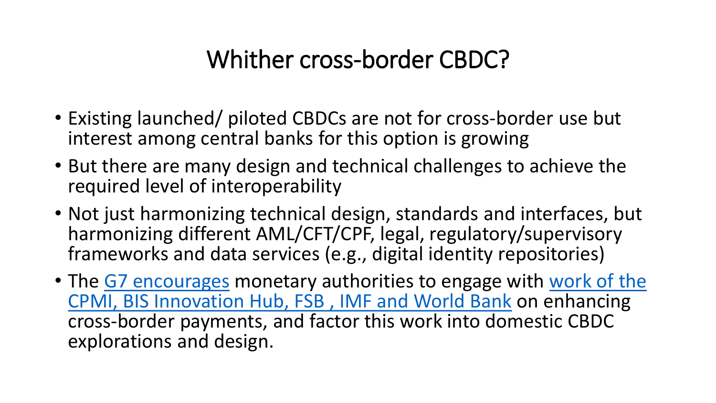# Whither cross-border CBDC?

- Existing launched/ piloted CBDCs are not for cross-border use but interest among central banks for this option is growing
- But there are many design and technical challenges to achieve the required level of interoperability
- Not just harmonizing technical design, standards and interfaces, but harmonizing different AML/CFT/CPF, legal, regulatory/supervisory frameworks and data services (e.g., digital identity repositories)
- The [G7 encourages](https://www.gov.uk/government/publications/g7-public-policy-principles-for-retail-central-bank-digital-currencies-and-g7-finance-ministers-and-central-bank-governors-statement-on-central-bank) monetary authorities to engage with work of the [CPMI, BIS Innovation Hub, FSB , IMF and World Bank](https://www.fsb.org/2020/10/enhancing-cross-border-payments-stage-3-roadmap/) on enhancing cross-border payments, and factor this work into domestic CBDC explorations and design.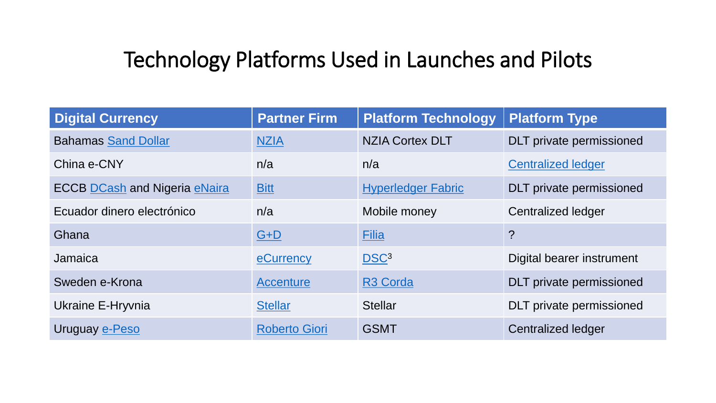#### Technology Platforms Used in Launches and Pilots

| <b>Digital Currency</b>              | <b>Partner Firm</b>  | <b>Platform Technology</b> | <b>Platform Type</b>            |
|--------------------------------------|----------------------|----------------------------|---------------------------------|
| <b>Bahamas Sand Dollar</b>           | <b>NZIA</b>          | <b>NZIA Cortex DLT</b>     | <b>DLT</b> private permissioned |
| China e-CNY                          | n/a                  | n/a                        | <b>Centralized ledger</b>       |
| <b>ECCB DCash and Nigeria eNaira</b> | <b>Bitt</b>          | <b>Hyperledger Fabric</b>  | <b>DLT</b> private permissioned |
| Ecuador dinero electrónico           | n/a                  | Mobile money               | Centralized ledger              |
| Ghana                                | $G+D$                | <b>Filia</b>               | $\overline{?}$                  |
| Jamaica                              | eCurrency            | DSC <sup>3</sup>           | Digital bearer instrument       |
| Sweden e-Krona                       | <b>Accenture</b>     | R <sub>3</sub> Corda       | <b>DLT</b> private permissioned |
| Ukraine E-Hryvnia                    | <b>Stellar</b>       | <b>Stellar</b>             | <b>DLT</b> private permissioned |
| Uruguay e-Peso                       | <b>Roberto Giori</b> | <b>GSMT</b>                | <b>Centralized ledger</b>       |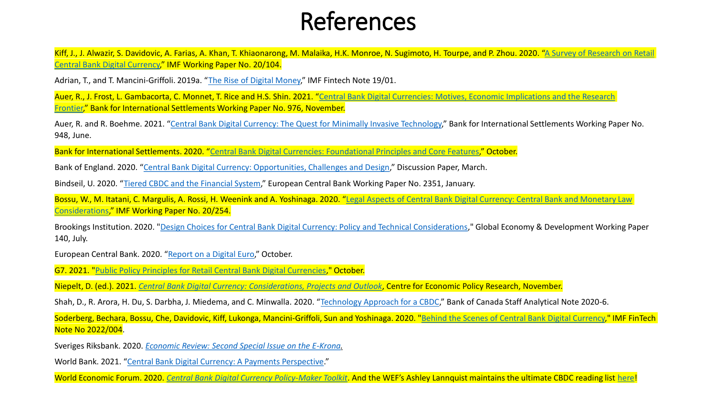### References

Kiff, J., J. Alwazir, S. Davidovic, A. Farias, A. Khan, T. [Khiaonarong, M. Malaika, H.K. Monroe, N. Sugimoto, H.](https://www.imf.org/en/Publications/WP/Issues/2020/06/26/A-Survey-of-Research-on-Retail-Central-Bank-Digital-Currency-49517) Tourpe, and P. Zhou. 2020. "A Survey of Research on Retail Central Bank Digital Currency," IMF Working Paper No. 20/104.

Adrian, T., and T. Mancini-Griffoli. 2019a. "[The Rise of Digital Money](https://www.imf.org/en/Publications/fintech-notes/Issues/2019/07/12/The-Rise-of-Digital-Money-47097)," IMF Fintech Note 19/01.

Auer, R., J. Frost, L. Gambacorta, C. Monnet, T. Rice and H.S. Shin. 2021. "[Central Bank Digital Currencies: Motives, Economic](https://www.bis.org/publ/work976.htm) Implications and the Research Frontier," Bank for International Settlements Working Paper No. 976, November.

Auer, R. and R. Boehme. 2021. "[Central Bank Digital Currency: The Quest for Minimally Invasive Technology](https://www.bis.org/publ/work948.htm)," Bank for International Settlements Working Paper No. 948, June.

Bank for International Settlements. 2020. "[Central Bank Digital Currencies: Foundational Principles and Core Features](https://www.bis.org/publ/othp33.htm)," October.

Bank of England. 2020. "[Central Bank Digital Currency: Opportunities, Challenges and Design](https://www.bankofengland.co.uk/paper/2020/central-bank-digital-currency-opportunities-challenges-and-design-discussion-paper)," Discussion Paper, March.

Bindseil, U. 2020. "[Tiered CBDC and the Financial System](https://www.ecb.europa.eu/pub/pdf/scpwps/ecb.wp2351~c8c18bbd60.en.pdf)," European Central Bank Working Paper No. 2351, January.

Bossu, W., M. Itatani, C. Margulis, A. Rossi, H. Weenink and A. Yoshinaga. 2020. "Legal Aspects of Central Bank Digital Currency: Central Bank and Monetary Law Considerations," IMF Working Paper No. 20/254.

Brookings Institution. 2020. "[Design Choices for Central Bank Digital Currency: Policy and Technical Considerations](https://www.brookings.edu/research/design-choices-for-central-bank-digital-currency-policy-and-technical-considerations/)," Global Economy & Development Working Paper 140, July.

European Central Bank. 2020. "[Report on a Digital Euro](https://www.ecb.europa.eu/press/pr/date/2020/html/ecb.pr201002~f90bfc94a8.en.html)," October.

G7. 2021. "[Public Policy Principles for Retail Central Bank Digital Currencies](https://www.gov.uk/government/publications/g7-public-policy-principles-for-retail-central-bank-digital-currencies-and-g7-finance-ministers-and-central-bank-governors-statement-on-central-bank)," October.

Niepelt, D. (ed.). 2021. *[Central Bank Digital Currency: Considerations, Projects and Outlook](https://voxeu.org/content/central-bank-digital-currency-considerations-projects-outlook)*, Centre for Economic Policy Research, November.

Shah, D., R. Arora, H. Du, S. Darbha, J. Miedema, and C. Minwalla. 2020. "[Technology Approach for a CBDC](https://www.bankofcanada.ca/2020/02/staff-analytical-note-2020-6/)," Bank of Canada Staff Analytical Note 2020-6.

Soderberg, Bechara, Bossu, Che, Davidovic, Kiff, Lukonga, Mancini-Griffoli, Sun and Yoshinaga. 2020. ["Behind the Scenes of Central Bank Digital Currency,](https://www.imf.org/en/Publications/fintech-notes/Issues/2022/02/07/Behind-the-Scenes-of-Central-Bank-Digital-Currency-512174)" IMF FinTech Note No 2022/004.

Sveriges Riksbank. 2020. *[Economic Review: Second Special Issue on the E-Krona.](https://www.riksbank.se/en-gb/press-and-published/notices-and-press-releases/notices/2020/new-issue-of-the-riksbanks-journal-economic-review/)*

World Bank. 2021. "[Central Bank Digital Currency: A Payments Perspective](https://openknowledge.worldbank.org/handle/10986/36765)."

World Economic Forum. 2020. *[Central Bank Digital Currency Policy-Maker Toolkit](https://www.weforum.org/whitepapers/central-bank-digital-currency-policy-maker-toolkit)*. And the WEF's Ashley Lannquist maintains the ultimate CBDC reading list [here!](https://docs.google.com/document/d/1c8iGtoG7BkPr-iufnIPELEWvtZiNtouOyJp2IYjhAEY/edit)